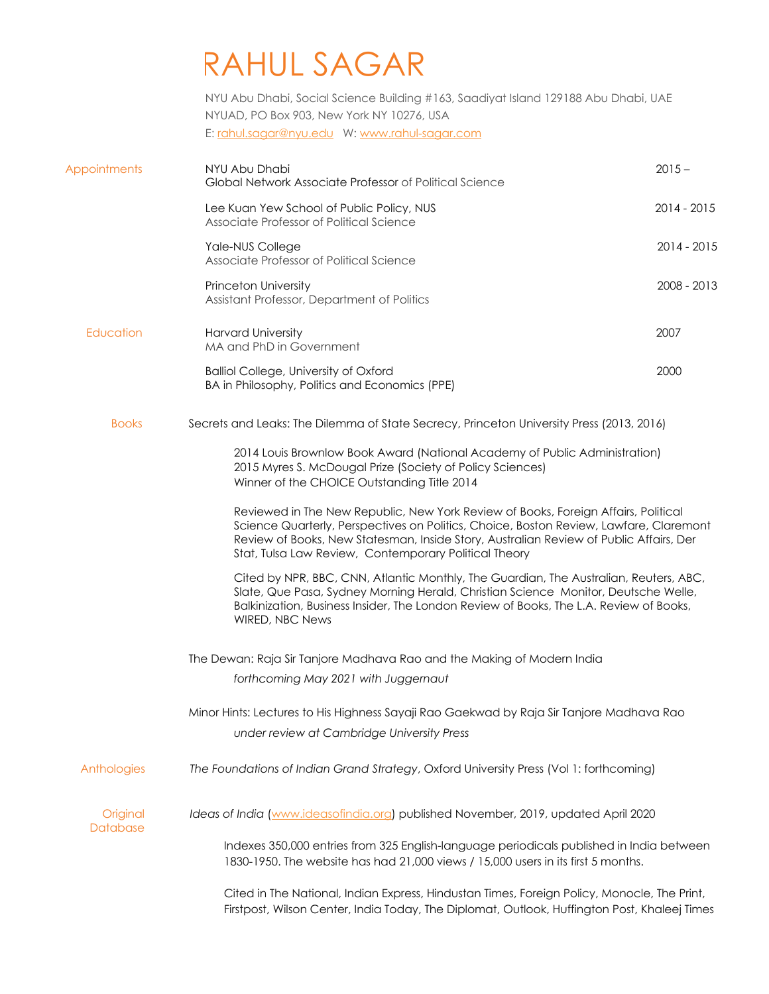## RAHUL SAGAR

 NYU Abu Dhabi, Social Science Building #163, Saadiyat Island 129188 Abu Dhabi, UAE E: rahul.sagar@nyu.edu W: www.rahul-sagar.com NYUAD, PO Box 903, New York NY 10276, USA

| <b>Appointments</b>  | NYU Abu Dhabi                                                                                                                                                                                                                                                                                                                   | $2015 -$    |
|----------------------|---------------------------------------------------------------------------------------------------------------------------------------------------------------------------------------------------------------------------------------------------------------------------------------------------------------------------------|-------------|
|                      | Global Network Associate Professor of Political Science                                                                                                                                                                                                                                                                         |             |
|                      | Lee Kuan Yew School of Public Policy, NUS<br>Associate Professor of Political Science                                                                                                                                                                                                                                           | 2014 - 2015 |
|                      | Yale-NUS College<br>Associate Professor of Political Science                                                                                                                                                                                                                                                                    | 2014 - 2015 |
|                      | <b>Princeton University</b><br>Assistant Professor, Department of Politics                                                                                                                                                                                                                                                      | 2008 - 2013 |
| Education            | <b>Harvard University</b><br>MA and PhD in Government                                                                                                                                                                                                                                                                           | 2007        |
|                      | <b>Balliol College, University of Oxford</b><br>BA in Philosophy, Politics and Economics (PPE)                                                                                                                                                                                                                                  | 2000        |
| <b>Books</b>         | Secrets and Leaks: The Dilemma of State Secrecy, Princeton University Press (2013, 2016)                                                                                                                                                                                                                                        |             |
|                      | 2014 Louis Brownlow Book Award (National Academy of Public Administration)<br>2015 Myres S. McDougal Prize (Society of Policy Sciences)<br>Winner of the CHOICE Outstanding Title 2014                                                                                                                                          |             |
|                      | Reviewed in The New Republic, New York Review of Books, Foreign Affairs, Political<br>Science Quarterly, Perspectives on Politics, Choice, Boston Review, Lawfare, Claremont<br>Review of Books, New Statesman, Inside Story, Australian Review of Public Affairs, Der<br>Stat, Tulsa Law Review, Contemporary Political Theory |             |
|                      | Cited by NPR, BBC, CNN, Atlantic Monthly, The Guardian, The Australian, Reuters, ABC,<br>Slate, Que Pasa, Sydney Morning Herald, Christian Science Monitor, Deutsche Welle,<br>Balkinization, Business Insider, The London Review of Books, The L.A. Review of Books,<br>WIRED, NBC News                                        |             |
|                      | The Dewan: Raja Sir Tanjore Madhava Rao and the Making of Modern India                                                                                                                                                                                                                                                          |             |
|                      | forthcoming May 2021 with Juggernaut                                                                                                                                                                                                                                                                                            |             |
|                      | Minor Hints: Lectures to His Highness Sayaji Rao Gaekwad by Raja Sir Tanjore Madhava Rao<br>under review at Cambridge University Press                                                                                                                                                                                          |             |
| Anthologies          | The Foundations of Indian Grand Strategy, Oxford University Press (Vol 1: forthcoming)                                                                                                                                                                                                                                          |             |
| Original<br>Database | Ideas of India (www.ideasofindia.org) published November, 2019, updated April 2020                                                                                                                                                                                                                                              |             |
|                      | Indexes 350,000 entries from 325 English-language periodicals published in India between<br>1830-1950. The website has had 21,000 views / 15,000 users in its first 5 months.                                                                                                                                                   |             |
|                      | Cited in The National, Indian Express, Hindustan Times, Foreign Policy, Monocle, The Print,<br>Firstpost, Wilson Center, India Today, The Diplomat, Outlook, Huffington Post, Khaleej Times                                                                                                                                     |             |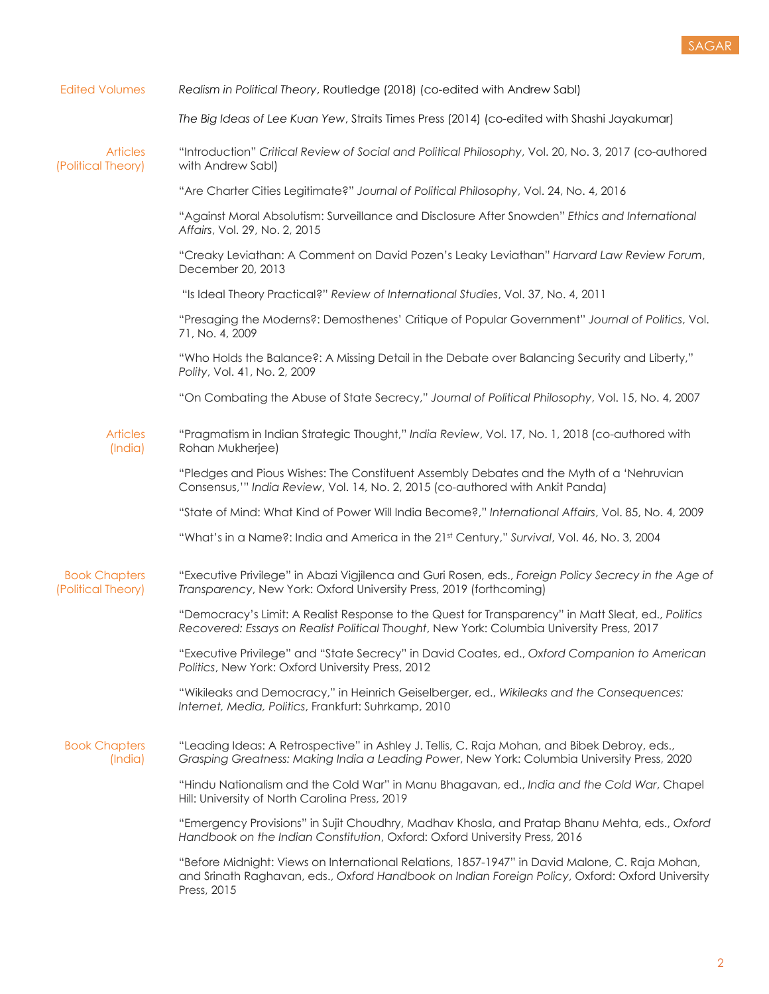

| <b>Edited Volumes</b>                      | Realism in Political Theory, Routledge (2018) (co-edited with Andrew Sabl)                                                                                                                                       |
|--------------------------------------------|------------------------------------------------------------------------------------------------------------------------------------------------------------------------------------------------------------------|
|                                            | The Big Ideas of Lee Kuan Yew, Straits Times Press (2014) (co-edited with Shashi Jayakumar)                                                                                                                      |
| <b>Articles</b><br>(Political Theory)      | "Introduction" Critical Review of Social and Political Philosophy, Vol. 20, No. 3, 2017 (co-authored<br>with Andrew Sabl)                                                                                        |
|                                            | "Are Charter Cities Legitimate?" Journal of Political Philosophy, Vol. 24, No. 4, 2016                                                                                                                           |
|                                            | "Against Moral Absolutism: Surveillance and Disclosure After Snowden" Ethics and International<br>Affairs, Vol. 29, No. 2, 2015                                                                                  |
|                                            | "Creaky Leviathan: A Comment on David Pozen's Leaky Leviathan" Harvard Law Review Forum,<br>December 20, 2013                                                                                                    |
|                                            | "Is Ideal Theory Practical?" Review of International Studies, Vol. 37, No. 4, 2011                                                                                                                               |
|                                            | "Presaging the Moderns?: Demosthenes' Critique of Popular Government" Journal of Politics, Vol.<br>71, No. 4, 2009                                                                                               |
|                                            | "Who Holds the Balance?: A Missing Detail in the Debate over Balancing Security and Liberty,"<br>Polity, Vol. 41, No. 2, 2009                                                                                    |
|                                            | "On Combating the Abuse of State Secrecy," Journal of Political Philosophy, Vol. 15, No. 4, 2007                                                                                                                 |
| <b>Articles</b><br>(India)                 | "Pragmatism in Indian Strategic Thought," India Review, Vol. 17, No. 1, 2018 (co-authored with<br>Rohan Mukherjee)                                                                                               |
|                                            | "Pledges and Pious Wishes: The Constituent Assembly Debates and the Myth of a 'Nehruvian<br>Consensus,"" India Review, Vol. 14, No. 2, 2015 (co-authored with Ankit Panda)                                       |
|                                            | "State of Mind: What Kind of Power Will India Become?," International Affairs, Vol. 85, No. 4, 2009                                                                                                              |
|                                            | "What's in a Name?: India and America in the 21st Century," Survival, Vol. 46, No. 3, 2004                                                                                                                       |
| <b>Book Chapters</b><br>(Political Theory) | "Executive Privilege" in Abazi Vigjilenca and Guri Rosen, eds., Foreign Policy Secrecy in the Age of<br>Transparency, New York: Oxford University Press, 2019 (forthcoming)                                      |
|                                            | "Democracy's Limit: A Realist Response to the Quest for Transparency" in Matt Sleat, ed., Politics<br>Recovered: Essays on Realist Political Thought, New York: Columbia University Press, 2017                  |
|                                            | "Executive Privilege" and "State Secrecy" in David Coates, ed., Oxford Companion to American<br>Politics, New York: Oxford University Press, 2012                                                                |
|                                            | "Wikileaks and Democracy," in Heinrich Geiselberger, ed., Wikileaks and the Consequences:<br>Internet, Media, Politics, Frankfurt: Suhrkamp, 2010                                                                |
| <b>Book Chapters</b><br>(India)            | "Leading Ideas: A Retrospective" in Ashley J. Tellis, C. Raja Mohan, and Bibek Debroy, eds.,<br>Grasping Greatness: Making India a Leading Power, New York: Columbia University Press, 2020                      |
|                                            | "Hindu Nationalism and the Cold War" in Manu Bhagavan, ed., India and the Cold War, Chapel<br>Hill: University of North Carolina Press, 2019                                                                     |
|                                            | "Emergency Provisions" in Sujit Choudhry, Madhav Khosla, and Pratap Bhanu Mehta, eds., Oxford<br>Handbook on the Indian Constitution, Oxford: Oxford University Press, 2016                                      |
|                                            | "Before Midnight: Views on International Relations, 1857-1947" in David Malone, C. Raja Mohan,<br>and Srinath Raghavan, eds., Oxford Handbook on Indian Foreign Policy, Oxford: Oxford University<br>Press, 2015 |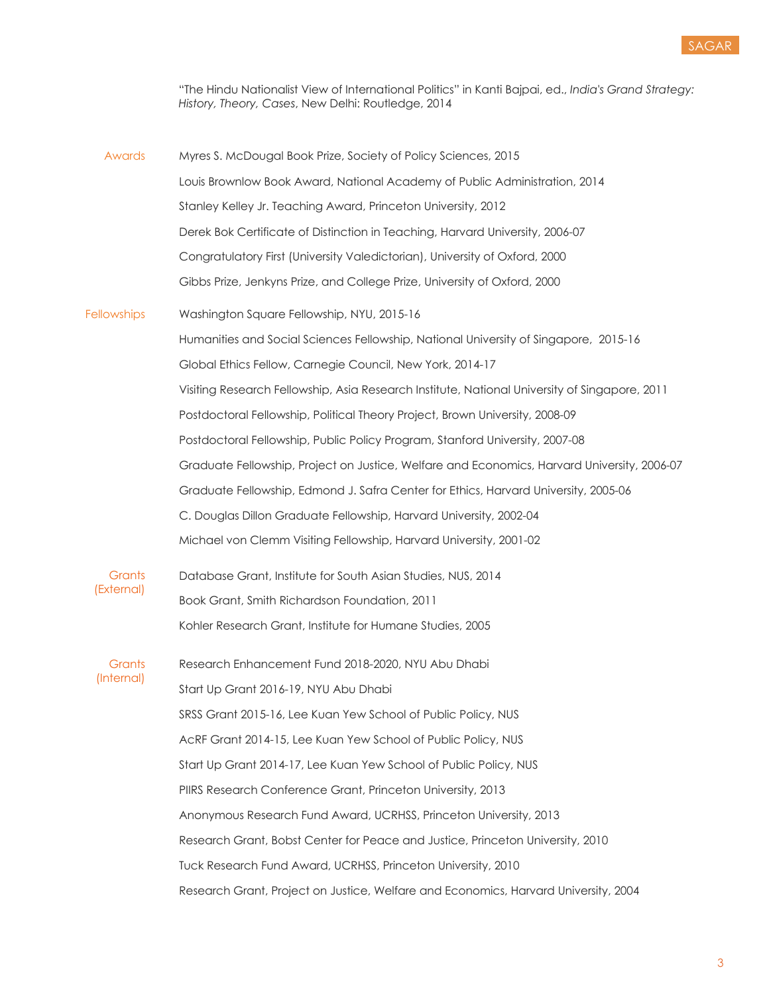

 "The Hindu Nationalist View of International Politics" in Kanti Bajpai, ed., *India's Grand Strategy: History, Theory, Cases*, New Delhi: Routledge, 2014

| Awards                      | Myres S. McDougal Book Prize, Society of Policy Sciences, 2015                                |
|-----------------------------|-----------------------------------------------------------------------------------------------|
|                             | Louis Brownlow Book Award, National Academy of Public Administration, 2014                    |
|                             | Stanley Kelley Jr. Teaching Award, Princeton University, 2012                                 |
|                             | Derek Bok Certificate of Distinction in Teaching, Harvard University, 2006-07                 |
|                             | Congratulatory First (University Valedictorian), University of Oxford, 2000                   |
|                             | Gibbs Prize, Jenkyns Prize, and College Prize, University of Oxford, 2000                     |
| <b>Fellowships</b>          | Washington Square Fellowship, NYU, 2015-16                                                    |
|                             | Humanities and Social Sciences Fellowship, National University of Singapore, 2015-16          |
|                             | Global Ethics Fellow, Carnegie Council, New York, 2014-17                                     |
|                             | Visiting Research Fellowship, Asia Research Institute, National University of Singapore, 2011 |
|                             | Postdoctoral Fellowship, Political Theory Project, Brown University, 2008-09                  |
|                             | Postdoctoral Fellowship, Public Policy Program, Stanford University, 2007-08                  |
|                             | Graduate Fellowship, Project on Justice, Welfare and Economics, Harvard University, 2006-07   |
|                             | Graduate Fellowship, Edmond J. Safra Center for Ethics, Harvard University, 2005-06           |
|                             | C. Douglas Dillon Graduate Fellowship, Harvard University, 2002-04                            |
|                             | Michael von Clemm Visiting Fellowship, Harvard University, 2001-02                            |
| <b>Grants</b><br>(External) | Database Grant, Institute for South Asian Studies, NUS, 2014                                  |
|                             | Book Grant, Smith Richardson Foundation, 2011                                                 |
|                             | Kohler Research Grant, Institute for Humane Studies, 2005                                     |
| Grants<br>(Internal)        | Research Enhancement Fund 2018-2020, NYU Abu Dhabi                                            |
|                             | Start Up Grant 2016-19, NYU Abu Dhabi                                                         |
|                             | SRSS Grant 2015-16, Lee Kuan Yew School of Public Policy, NUS                                 |
|                             | AcRF Grant 2014-15, Lee Kuan Yew School of Public Policy, NUS                                 |
|                             | Start Up Grant 2014-17, Lee Kuan Yew School of Public Policy, NUS                             |
|                             | PIIRS Research Conference Grant, Princeton University, 2013                                   |
|                             | Anonymous Research Fund Award, UCRHSS, Princeton University, 2013                             |
|                             | Research Grant, Bobst Center for Peace and Justice, Princeton University, 2010                |
|                             | Tuck Research Fund Award, UCRHSS, Princeton University, 2010                                  |
|                             | Research Grant, Project on Justice, Welfare and Economics, Harvard University, 2004           |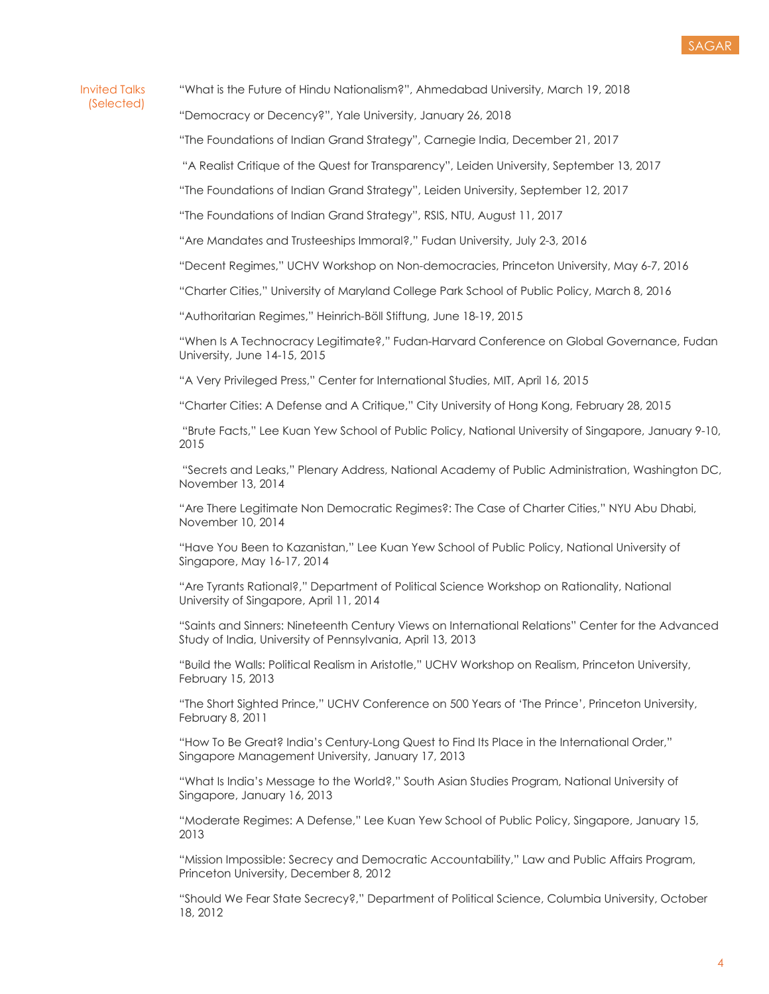## Invited Talks (Selected)

"What is the Future of Hindu Nationalism?", Ahmedabad University, March 19, 2018

"Democracy or Decency?", Yale University, January 26, 2018

"The Foundations of Indian Grand Strategy", Carnegie India, December 21, 2017

"A Realist Critique of the Quest for Transparency", Leiden University, September 13, 2017

"The Foundations of Indian Grand Strategy", Leiden University, September 12, 2017

"The Foundations of Indian Grand Strategy", RSIS, NTU, August 11, 2017

"Are Mandates and Trusteeships Immoral?," Fudan University, July 2-3, 2016

"Decent Regimes," UCHV Workshop on Non-democracies, Princeton University, May 6-7, 2016

"Charter Cities," University of Maryland College Park School of Public Policy, March 8, 2016

"Authoritarian Regimes," Heinrich-Böll Stiftung, June 18-19, 2015

 "When Is A Technocracy Legitimate?," Fudan-Harvard Conference on Global Governance, Fudan University, June 14-15, 2015

"A Very Privileged Press," Center for International Studies, MIT, April 16, 2015

"Charter Cities: A Defense and A Critique," City University of Hong Kong, February 28, 2015

 "Brute Facts," Lee Kuan Yew School of Public Policy, National University of Singapore, January 9-10, 2015 2015<br>"Secrets and Leaks," Plenary Address, National Academy of Public Administration, Washington DC,

November 13, 2014

 "Are There Legitimate Non Democratic Regimes?: The Case of Charter Cities," NYU Abu Dhabi, November 10, 2014

 "Have You Been to Kazanistan," Lee Kuan Yew School of Public Policy, National University of Singapore, May 16-17, 2014

 "Are Tyrants Rational?," Department of Political Science Workshop on Rationality, National University of Singapore, April 11, 2014

 "Saints and Sinners: Nineteenth Century Views on International Relations" Center for the Advanced Study of India, University of Pennsylvania, April 13, 2013

 "Build the Walls: Political Realism in Aristotle," UCHV Workshop on Realism, Princeton University, February 15, 2013

 "The Short Sighted Prince," UCHV Conference on 500 Years of 'The Prince', Princeton University, February 8, 2011

 "How To Be Great? India's Century-Long Quest to Find Its Place in the International Order," Singapore Management University, January 17, 2013

 "What Is India's Message to the World?," South Asian Studies Program, National University of Singapore, January 16, 2013

 "Moderate Regimes: A Defense," Lee Kuan Yew School of Public Policy, Singapore, January 15, 2013

 "Mission Impossible: Secrecy and Democratic Accountability," Law and Public Affairs Program, Princeton University, December 8, 2012

 "Should We Fear State Secrecy?," Department of Political Science, Columbia University, October 18, 2012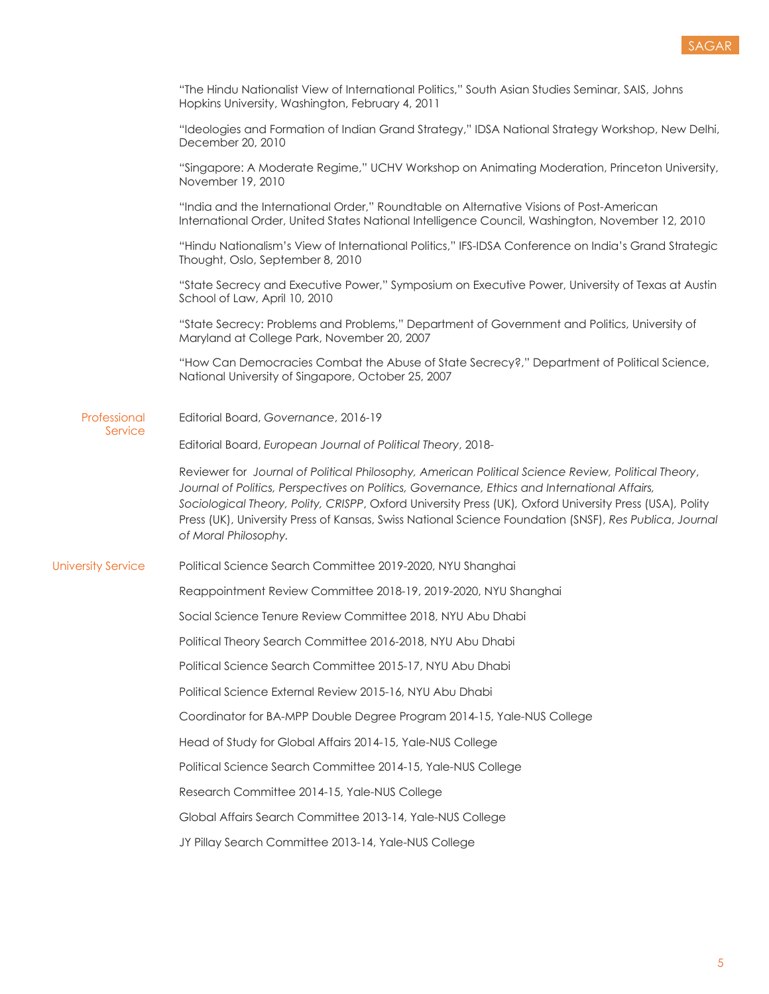

|                           | "The Hindu Nationalist View of International Politics," South Asian Studies Seminar, SAIS, Johns<br>Hopkins University, Washington, February 4, 2011                                                                                                                                                                                                                                                                                             |
|---------------------------|--------------------------------------------------------------------------------------------------------------------------------------------------------------------------------------------------------------------------------------------------------------------------------------------------------------------------------------------------------------------------------------------------------------------------------------------------|
|                           | "Ideologies and Formation of Indian Grand Strategy," IDSA National Strategy Workshop, New Delhi,<br>December 20, 2010                                                                                                                                                                                                                                                                                                                            |
|                           | "Singapore: A Moderate Regime," UCHV Workshop on Animating Moderation, Princeton University,<br>November 19, 2010                                                                                                                                                                                                                                                                                                                                |
|                           | "India and the International Order," Roundtable on Alternative Visions of Post-American<br>International Order, United States National Intelligence Council, Washington, November 12, 2010                                                                                                                                                                                                                                                       |
|                           | "Hindu Nationalism's View of International Politics," IFS-IDSA Conference on India's Grand Strategic<br>Thought, Oslo, September 8, 2010                                                                                                                                                                                                                                                                                                         |
|                           | "State Secrecy and Executive Power," Symposium on Executive Power, University of Texas at Austin<br>School of Law, April 10, 2010                                                                                                                                                                                                                                                                                                                |
|                           | "State Secrecy: Problems and Problems," Department of Government and Politics, University of<br>Maryland at College Park, November 20, 2007                                                                                                                                                                                                                                                                                                      |
|                           | "How Can Democracies Combat the Abuse of State Secrecy?," Department of Political Science,<br>National University of Singapore, October 25, 2007                                                                                                                                                                                                                                                                                                 |
| Professional              | Editorial Board, Governance, 2016-19                                                                                                                                                                                                                                                                                                                                                                                                             |
| Service                   | Editorial Board, European Journal of Political Theory, 2018-                                                                                                                                                                                                                                                                                                                                                                                     |
|                           | Reviewer for Journal of Political Philosophy, American Political Science Review, Political Theory,<br>Journal of Politics, Perspectives on Politics, Governance, Ethics and International Affairs,<br>Sociological Theory, Polity, CRISPP, Oxford University Press (UK), Oxford University Press (USA), Polity<br>Press (UK), University Press of Kansas, Swiss National Science Foundation (SNSF), Res Publica, Journal<br>of Moral Philosophy. |
| <b>University Service</b> | Political Science Search Committee 2019-2020, NYU Shanghai                                                                                                                                                                                                                                                                                                                                                                                       |
|                           | Reappointment Review Committee 2018-19, 2019-2020, NYU Shanghai                                                                                                                                                                                                                                                                                                                                                                                  |
|                           | Social Science Tenure Review Committee 2018, NYU Abu Dhabi                                                                                                                                                                                                                                                                                                                                                                                       |
|                           | Political Theory Search Committee 2016-2018, NYU Abu Dhabi                                                                                                                                                                                                                                                                                                                                                                                       |
|                           | Political Science Search Committee 2015-17, NYU Abu Dhabi                                                                                                                                                                                                                                                                                                                                                                                        |
|                           | Political Science External Review 2015-16, NYU Abu Dhabi                                                                                                                                                                                                                                                                                                                                                                                         |
|                           | Coordinator for BA-MPP Double Degree Program 2014-15, Yale-NUS College                                                                                                                                                                                                                                                                                                                                                                           |
|                           | Head of Study for Global Affairs 2014-15, Yale-NUS College                                                                                                                                                                                                                                                                                                                                                                                       |
|                           | Political Science Search Committee 2014-15, Yale-NUS College                                                                                                                                                                                                                                                                                                                                                                                     |
|                           | Research Committee 2014-15, Yale-NUS College                                                                                                                                                                                                                                                                                                                                                                                                     |
|                           | Global Affairs Search Committee 2013-14, Yale-NUS College                                                                                                                                                                                                                                                                                                                                                                                        |
|                           | JY Pillay Search Committee 2013-14, Yale-NUS College                                                                                                                                                                                                                                                                                                                                                                                             |